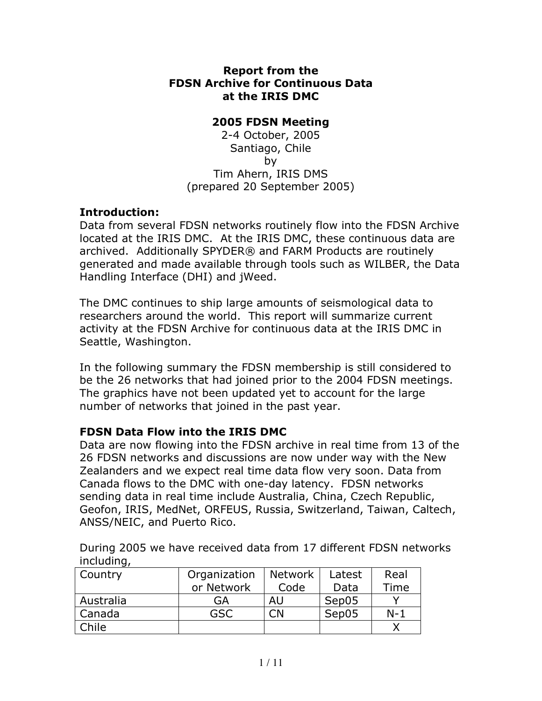## **Report from the FDSN Archive for Continuous Data at the IRIS DMC**

## **2005 FDSN Meeting**

2-4 October, 2005 Santiago, Chile by Tim Ahern, IRIS DMS (prepared 20 September 2005)

# **Introduction:**

Data from several FDSN networks routinely flow into the FDSN Archive located at the IRIS DMC. At the IRIS DMC, these continuous data are archived. Additionally SPYDER® and FARM Products are routinely generated and made available through tools such as WILBER, the Data Handling Interface (DHI) and jWeed.

The DMC continues to ship large amounts of seismological data to researchers around the world. This report will summarize current activity at the FDSN Archive for continuous data at the IRIS DMC in Seattle, Washington.

In the following summary the FDSN membership is still considered to be the 26 networks that had joined prior to the 2004 FDSN meetings. The graphics have not been updated yet to account for the large number of networks that joined in the past year.

# **FDSN Data Flow into the IRIS DMC**

Data are now flowing into the FDSN archive in real time from 13 of the 26 FDSN networks and discussions are now under way with the New Zealanders and we expect real time data flow very soon. Data from Canada flows to the DMC with one-day latency. FDSN networks sending data in real time include Australia, China, Czech Republic, Geofon, IRIS, MedNet, ORFEUS, Russia, Switzerland, Taiwan, Caltech, ANSS/NEIC, and Puerto Rico.

During 2005 we have received data from 17 different FDSN networks including,

| Country      | Organization | <b>Network</b> | Latest | Real  |
|--------------|--------------|----------------|--------|-------|
|              | or Network   | Code           | Data   | Time  |
| Australia    | GA           | AU             | Sep05  |       |
| Canada       | GSC          |                | Sep05  | $N-1$ |
| <b>Chile</b> |              |                |        |       |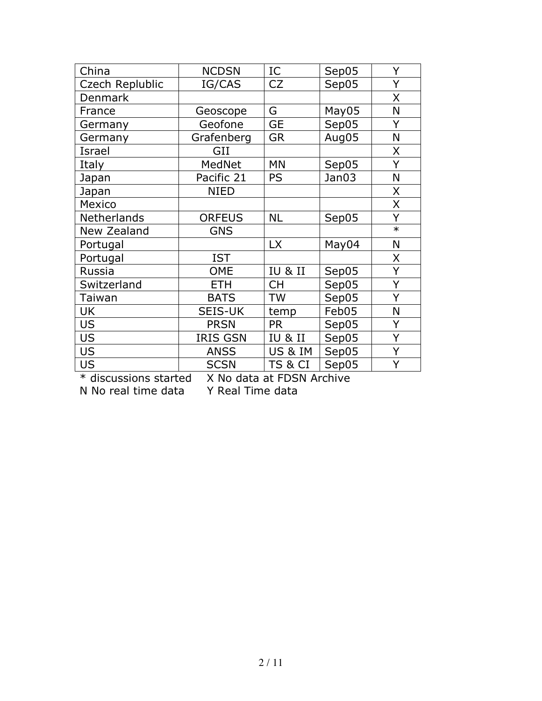| China           | <b>NCDSN</b>    | IC                 | Sep05 | Y      |
|-----------------|-----------------|--------------------|-------|--------|
| Czech Replublic | IG/CAS          | CZ                 | Sep05 | Y      |
| <b>Denmark</b>  |                 |                    |       | X      |
| France          | Geoscope        | G                  | May05 | N      |
| Germany         | Geofone         | <b>GE</b>          | Sep05 | Y      |
| Germany         | Grafenberg      | <b>GR</b>          | Aug05 | N      |
| Israel          | GII             |                    |       | Χ      |
| Italy           | MedNet          | <b>MN</b>          | Sep05 | Ý      |
| Japan           | Pacific 21      | <b>PS</b>          | Jan03 | N      |
| Japan           | <b>NIED</b>     |                    |       | X      |
| Mexico          |                 |                    |       | X      |
| Netherlands     | <b>ORFEUS</b>   | <b>NL</b>          | Sep05 | Y      |
| New Zealand     | <b>GNS</b>      |                    |       | $\ast$ |
| Portugal        |                 | <b>LX</b>          | May04 | N      |
| Portugal        | <b>IST</b>      |                    |       | Χ      |
| Russia          | <b>OME</b>      | IU & II            | Sep05 | Ý      |
| Switzerland     | <b>ETH</b>      | <b>CH</b>          | Sep05 | Ý      |
| Taiwan          | <b>BATS</b>     | <b>TW</b>          | Sep05 | Ý      |
| UK              | <b>SEIS-UK</b>  | temp               | Feb05 | N      |
| <b>US</b>       | <b>PRSN</b>     | <b>PR</b>          | Sep05 | Y      |
| <b>US</b>       | <b>IRIS GSN</b> | <b>IU &amp; II</b> | Sep05 | Y      |
| <b>US</b>       | <b>ANSS</b>     | US & IM            | Sep05 | Y      |
| <b>US</b>       | <b>SCSN</b>     | TS & CI            | Sep05 | Ý      |

\* discussions started X No data at FDSN Archive N No real time data Y Real Time data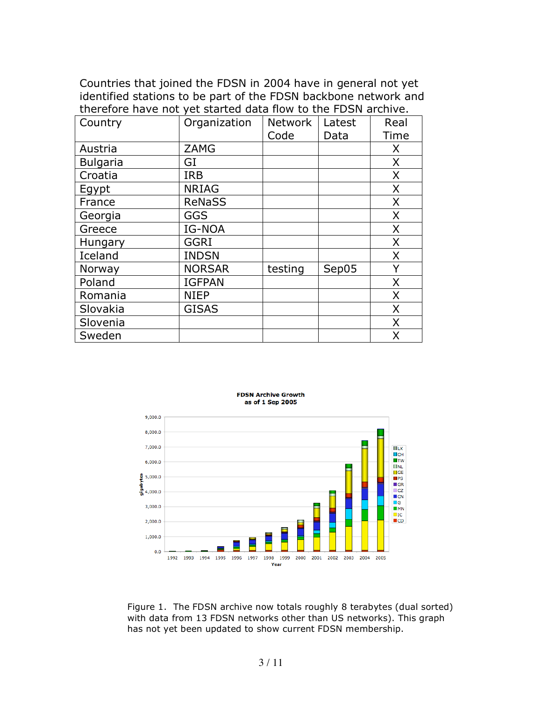### Countries that joined the FDSN in 2004 have in general not yet identified stations to be part of the FDSN backbone network and therefore have not yet started data flow to the FDSN archive.

| Country         | Organization  | <b>Network</b> | Latest | Real         |
|-----------------|---------------|----------------|--------|--------------|
|                 |               | Code           | Data   | Time         |
| Austria         | <b>ZAMG</b>   |                |        | X.           |
| <b>Bulgaria</b> | GI            |                |        | $\mathsf{X}$ |
| Croatia         | <b>IRB</b>    |                |        | X            |
| Egypt           | <b>NRIAG</b>  |                |        | X            |
| France          | <b>ReNaSS</b> |                |        | X            |
| Georgia         | GGS           |                |        | $\mathsf{X}$ |
| Greece          | IG-NOA        |                |        | X            |
| Hungary         | <b>GGRI</b>   |                |        | $\mathsf{X}$ |
| Iceland         | <b>INDSN</b>  |                |        | $\mathsf{X}$ |
| Norway          | <b>NORSAR</b> | testing        | Sep05  | Y            |
| Poland          | <b>IGFPAN</b> |                |        | X            |
| Romania         | <b>NIEP</b>   |                |        | X            |
| Slovakia        | <b>GISAS</b>  |                |        | $\mathsf{X}$ |
| Slovenia        |               |                |        | $\mathsf{X}$ |
| Sweden          |               |                |        | X            |



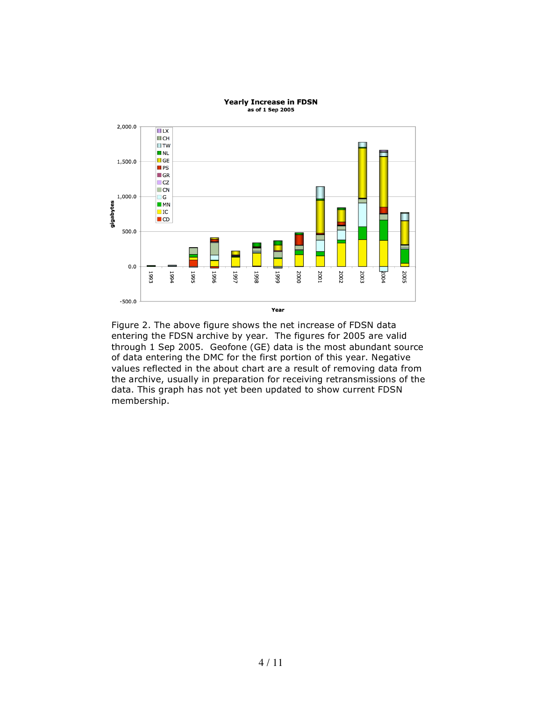

#### **Yearly Increase in FDSN** as of 1 Sep 2005

Figure 2. The above figure shows the net increase of FDSN data entering the FDSN archive by year. The figures for 2005 are valid through 1 Sep 2005. Geofone (GE) data is the most abundant source of data entering the DMC for the first portion of this year. Negative values reflected in the about chart are a result of removing data from the archive, usually in preparation for receiving retransmissions of the data. This graph has not yet been updated to show current FDSN membership.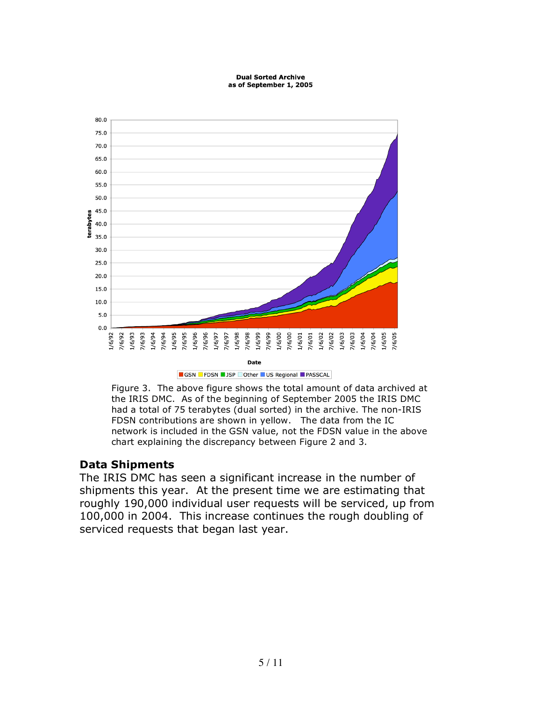#### **Dual Sorted Archive** as of September 1, 2005



Figure 3. The above figure shows the total amount of data archived at the IRIS DMC. As of the beginning of September 2005 the IRIS DMC had a total of 75 terabytes (dual sorted) in the archive. The non-IRIS FDSN contributions are shown in yellow. The data from the IC network is included in the GSN value, not the FDSN value in the above chart explaining the discrepancy between Figure 2 and 3.

# **Data Shipments**

The IRIS DMC has seen a significant increase in the number of shipments this year. At the present time we are estimating that roughly 190,000 individual user requests will be serviced, up from 100,000 in 2004. This increase continues the rough doubling of serviced requests that began last year.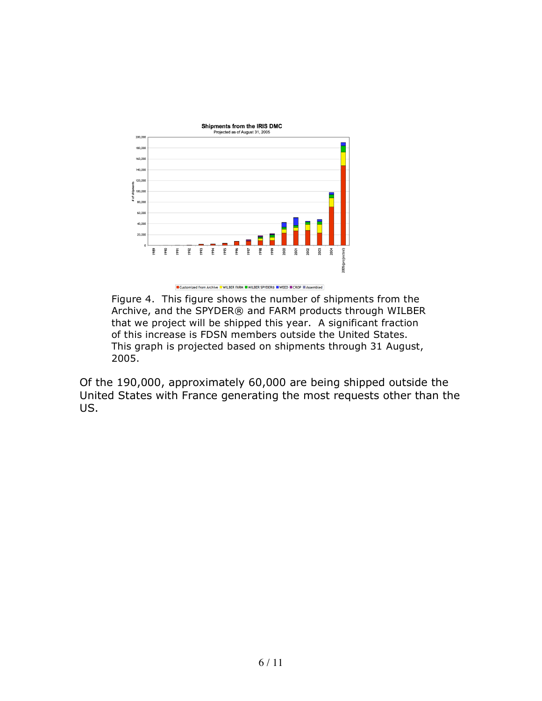



Figure 4. This figure shows the number of shipments from the Archive, and the SPYDER® and FARM products through WILBER that we project will be shipped this year. A significant fraction of this increase is FDSN members outside the United States. This graph is projected based on shipments through 31 August, 2005.

Of the 190,000, approximately 60,000 are being shipped outside the United States with France generating the most requests other than the US.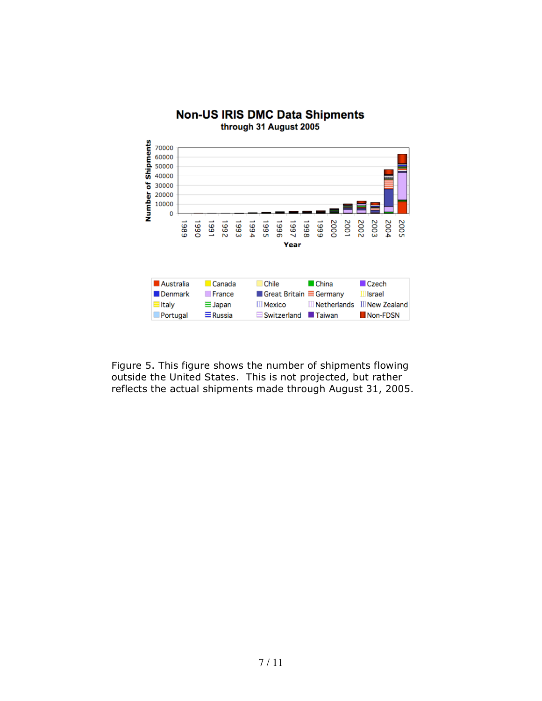

**Non-US IRIS DMC Data Shipments** 

Figure 5. This figure shows the number of shipments flowing outside the United States. This is not projected, but rather reflects the actual shipments made through August 31, 2005.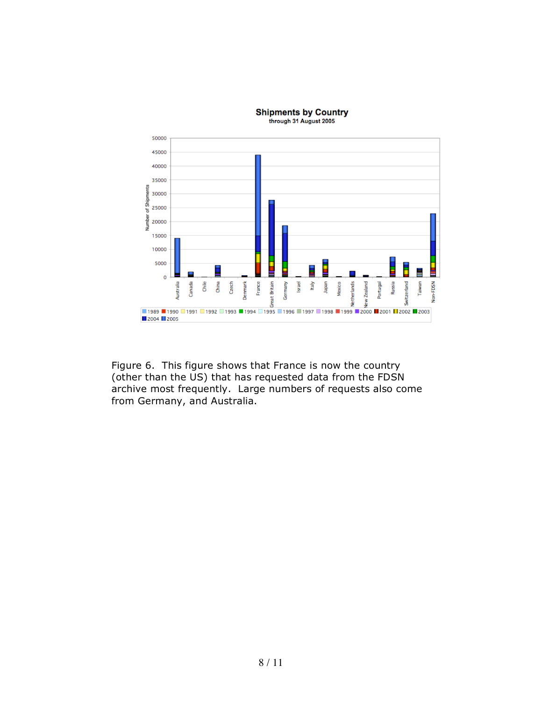

Figure 6. This figure shows that France is now the country (other than the US) that has requested data from the FDSN archive most frequently. Large numbers of requests also come from Germany, and Australia.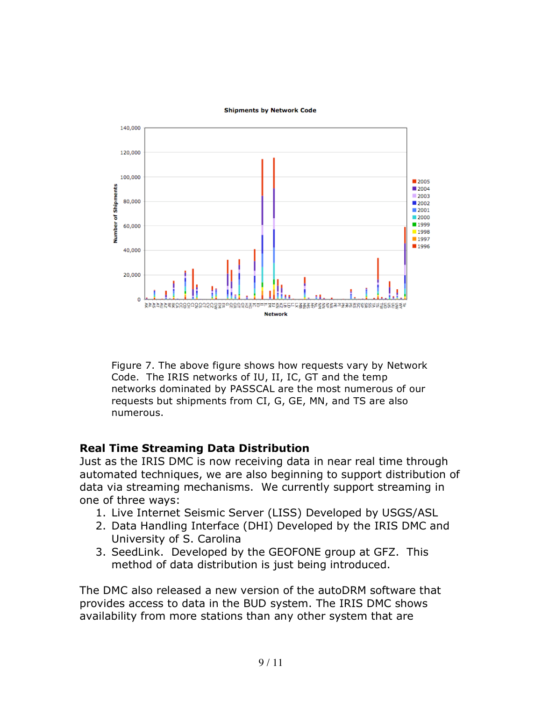### **Shipments by Network Code**



Figure 7. The above figure shows how requests vary by Network Code. The IRIS networks of IU, II, IC, GT and the temp networks dominated by PASSCAL are the most numerous of our requests but shipments from CI, G, GE, MN, and TS are also numerous.

### **Real Time Streaming Data Distribution**

Just as the IRIS DMC is now receiving data in near real time through automated techniques, we are also beginning to support distribution of data via streaming mechanisms. We currently support streaming in one of three ways:

- 1. Live Internet Seismic Server (LISS) Developed by USGS/ASL
- 2. Data Handling Interface (DHI) Developed by the IRIS DMC and University of S. Carolina
- 3. SeedLink. Developed by the GEOFONE group at GFZ. This method of data distribution is just being introduced.

The DMC also released a new version of the autoDRM software that provides access to data in the BUD system. The IRIS DMC shows availability from more stations than any other system that are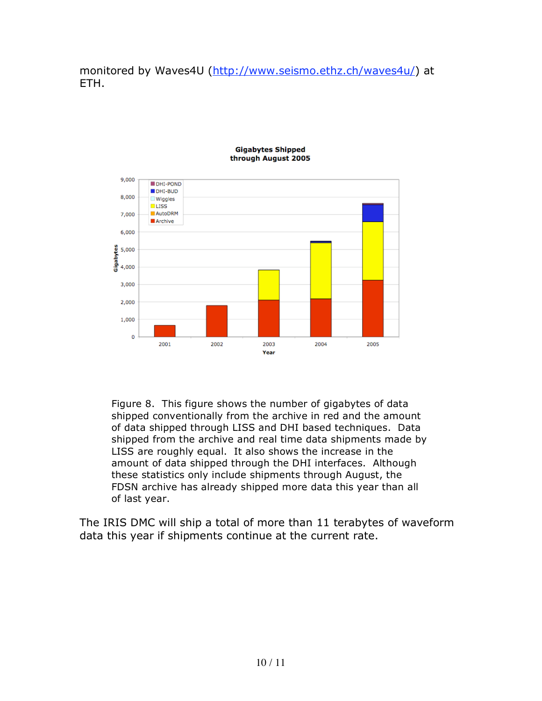monitored by Waves4U (http://www.seismo.ethz.ch/waves4u/) at ETH.



### **Gigabytes Shipped** through August 2005

Figure 8. This figure shows the number of gigabytes of data shipped conventionally from the archive in red and the amount of data shipped through LISS and DHI based techniques. Data shipped from the archive and real time data shipments made by LISS are roughly equal. It also shows the increase in the amount of data shipped through the DHI interfaces. Although these statistics only include shipments through August, the FDSN archive has already shipped more data this year than all of last year.

The IRIS DMC will ship a total of more than 11 terabytes of waveform data this year if shipments continue at the current rate.